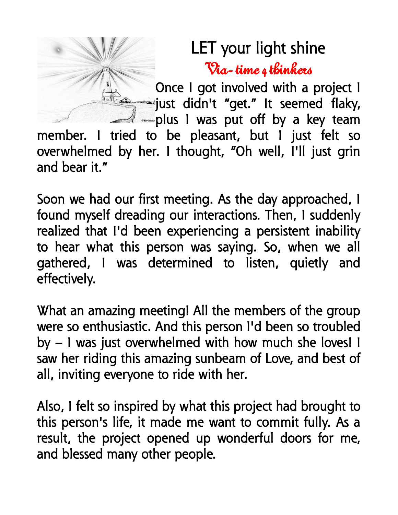## LET your light shine Via- time 4 thinkers

Once I got involved with a project I just didn't "get." It seemed flaky, plus I was put off by a key team member. I tried to be pleasant, but I just felt so overwhelmed by her. I thought, "Oh well, I'll just grin and bear it."

Soon we had our first meeting. As the day approached, I found myself dreading our interactions. Then, I suddenly realized that I'd been experiencing a persistent inability to hear what this person was saying. So, when we all gathered, I was determined to listen, quietly and effectively.

What an amazing meeting! All the members of the group were so enthusiastic. And this person I'd been so troubled by – I was just overwhelmed with how much she loves! I saw her riding this amazing sunbeam of Love, and best of all, inviting everyone to ride with her.

Also, I felt so inspired by what this project had brought to this person's life, it made me want to commit fully. As a result, the project opened up wonderful doors for me, and blessed many other people.